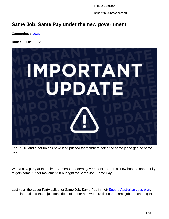https://rtbuexpress.com.au

## **Same Job, Same Pay under the new government**

**Categories :** [News](https://rtbuexpress.com.au/category/news/)

**Date :** 1 June, 2022



The RTBU and other unions have long pushed for members doing the same job to get the same pay.

With a new party at the helm of Australia's federal government, the RTBU now has the opportunity to gain some further movement in our fight for Same Job, Same Pay

Last year, the Labor Party called for Same Job, Same Pay in their Secure Australian Jobs plan. The plan outlined the unjust conditions of labour hire workers doing the same job and sharing the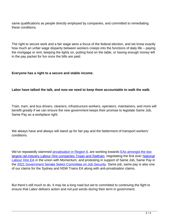same qualifications as people directly employed by companies, and committed to remediating these conditions.

The right to secure work and a fair wage were a focus of the federal election, and we know exactly how much an unfair wage disparity between workers creeps into the functions of daily life – paying the mortgage or rent, keeping the lights on, putting food on the table, or having enough money left in the pay packet for fun once the bills are paid.

## **Everyone has a right to a secure and stable income.**

## **Labor have talked the talk, and now we need to keep them accountable to walk the walk.**

Train, tram, and bus drivers, cleaners, infrastructure workers, operators, maintainers, and more will benefit greatly if we can ensure the new government keeps their promise to legislate Same Job, Same Pay as a workplace right.

We always have and always will stand up for fair pay and the betterment of transport workers' conditions.

We've repeatedly slammed *privatisation in Region 6*, are working towards **EAs amongst the two** largest rail industry Labour Hire companies Trojan and Railtrain, negotiating the first ever National Labour Hire EA in the union with Momentum, and protesting in support of Same Job, Same Pay in the 2021 Government Senate Select Committee on Job Security. Same job, same pay is also one of our claims for the Sydney and NSW Trains EA along with anti-privatisation claims.

But there's still much to do. It may be a long road but we're committed to continuing the fight to ensure that Labor delivers action and not just words during their term in government.